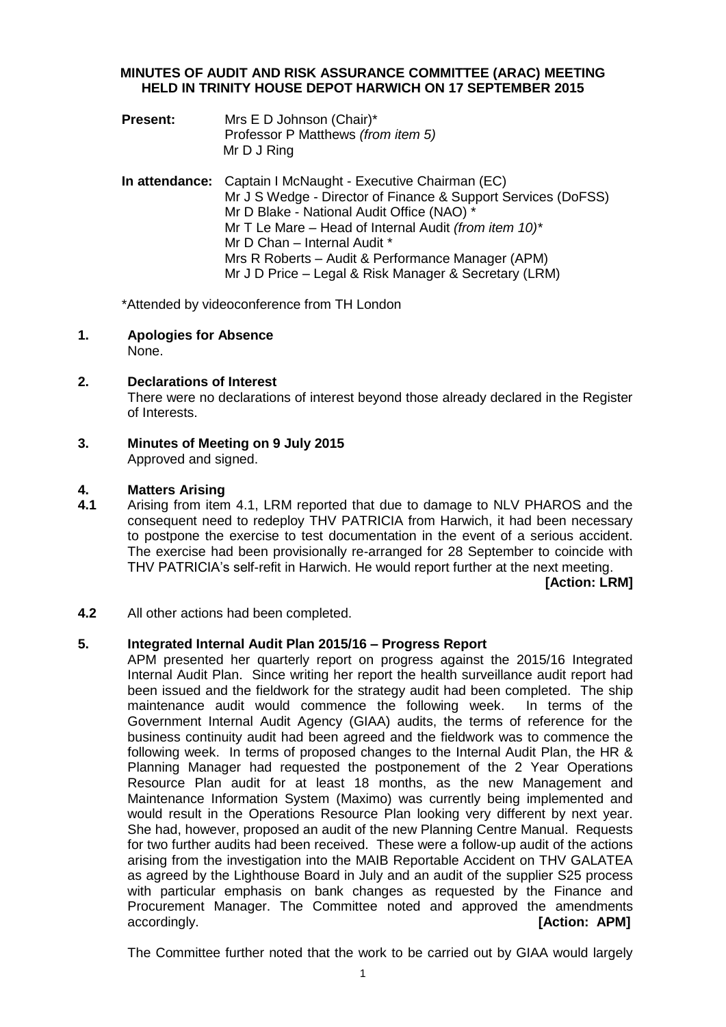## **MINUTES OF AUDIT AND RISK ASSURANCE COMMITTEE (ARAC) MEETING HELD IN TRINITY HOUSE DEPOT HARWICH ON 17 SEPTEMBER 2015**

- **Present:** Mrs E D Johnson (Chair)\* Professor P Matthews *(from item 5)* Mr D J Ring
- **In attendance:** Captain I McNaught Executive Chairman (EC) Mr J S Wedge - Director of Finance & Support Services (DoFSS) Mr D Blake - National Audit Office (NAO) \* Mr T Le Mare – Head of Internal Audit *(from item 10)\** Mr D Chan – Internal Audit \* Mrs R Roberts – Audit & Performance Manager (APM) Mr J D Price – Legal & Risk Manager & Secretary (LRM)

\*Attended by videoconference from TH London

- **1. Apologies for Absence**
	- None.
- **2. Declarations of Interest**

There were no declarations of interest beyond those already declared in the Register of Interests.

**3. Minutes of Meeting on 9 July 2015** Approved and signed.

#### **4. Matters Arising**

**4.1** Arising from item 4.1, LRM reported that due to damage to NLV PHAROS and the consequent need to redeploy THV PATRICIA from Harwich, it had been necessary to postpone the exercise to test documentation in the event of a serious accident. The exercise had been provisionally re-arranged for 28 September to coincide with THV PATRICIA's self-refit in Harwich. He would report further at the next meeting.

**[Action: LRM]**

**4.2** All other actions had been completed.

#### **5. Integrated Internal Audit Plan 2015/16 – Progress Report**

APM presented her quarterly report on progress against the 2015/16 Integrated Internal Audit Plan. Since writing her report the health surveillance audit report had been issued and the fieldwork for the strategy audit had been completed. The ship maintenance audit would commence the following week. In terms of the Government Internal Audit Agency (GIAA) audits, the terms of reference for the business continuity audit had been agreed and the fieldwork was to commence the following week. In terms of proposed changes to the Internal Audit Plan, the HR & Planning Manager had requested the postponement of the 2 Year Operations Resource Plan audit for at least 18 months, as the new Management and Maintenance Information System (Maximo) was currently being implemented and would result in the Operations Resource Plan looking very different by next year. She had, however, proposed an audit of the new Planning Centre Manual. Requests for two further audits had been received. These were a follow-up audit of the actions arising from the investigation into the MAIB Reportable Accident on THV GALATEA as agreed by the Lighthouse Board in July and an audit of the supplier S25 process with particular emphasis on bank changes as requested by the Finance and Procurement Manager. The Committee noted and approved the amendments accordingly. **[Action: APM]**

The Committee further noted that the work to be carried out by GIAA would largely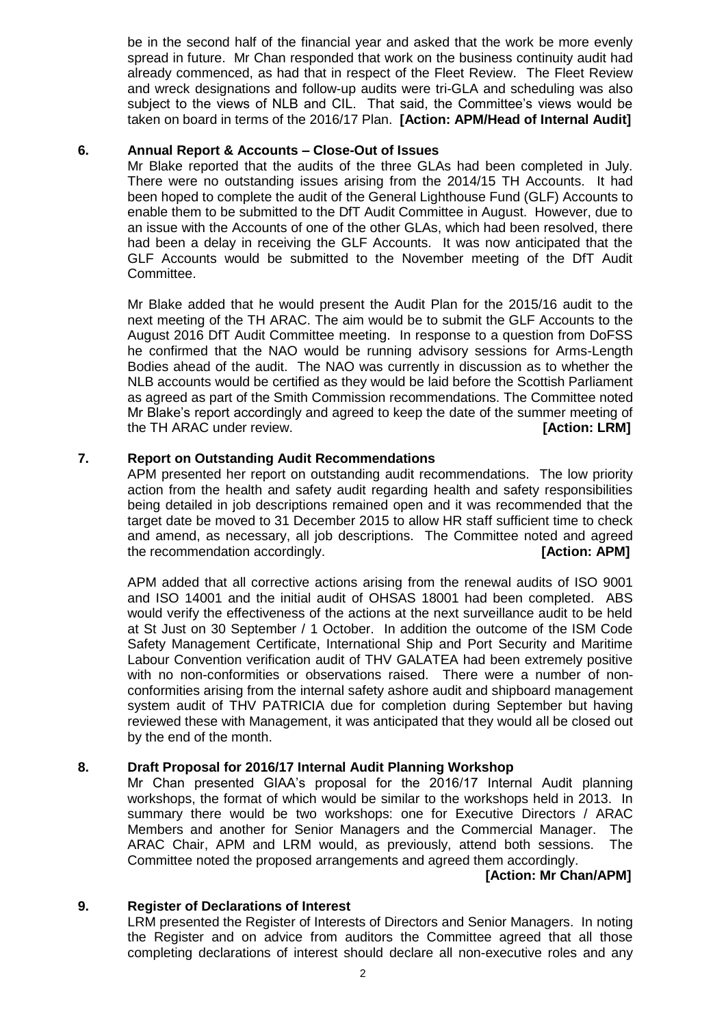be in the second half of the financial year and asked that the work be more evenly spread in future. Mr Chan responded that work on the business continuity audit had already commenced, as had that in respect of the Fleet Review. The Fleet Review and wreck designations and follow-up audits were tri-GLA and scheduling was also subject to the views of NLB and CIL. That said, the Committee's views would be taken on board in terms of the 2016/17 Plan. **[Action: APM/Head of Internal Audit]**

#### **6. Annual Report & Accounts – Close-Out of Issues**

Mr Blake reported that the audits of the three GLAs had been completed in July. There were no outstanding issues arising from the 2014/15 TH Accounts. It had been hoped to complete the audit of the General Lighthouse Fund (GLF) Accounts to enable them to be submitted to the DfT Audit Committee in August. However, due to an issue with the Accounts of one of the other GLAs, which had been resolved, there had been a delay in receiving the GLF Accounts. It was now anticipated that the GLF Accounts would be submitted to the November meeting of the DfT Audit Committee.

Mr Blake added that he would present the Audit Plan for the 2015/16 audit to the next meeting of the TH ARAC. The aim would be to submit the GLF Accounts to the August 2016 DfT Audit Committee meeting. In response to a question from DoFSS he confirmed that the NAO would be running advisory sessions for Arms-Length Bodies ahead of the audit. The NAO was currently in discussion as to whether the NLB accounts would be certified as they would be laid before the Scottish Parliament as agreed as part of the Smith Commission recommendations. The Committee noted Mr Blake's report accordingly and agreed to keep the date of the summer meeting of the TH ARAC under review. **[Action: LRM]**

### **7. Report on Outstanding Audit Recommendations**

APM presented her report on outstanding audit recommendations. The low priority action from the health and safety audit regarding health and safety responsibilities being detailed in job descriptions remained open and it was recommended that the target date be moved to 31 December 2015 to allow HR staff sufficient time to check and amend, as necessary, all job descriptions. The Committee noted and agreed the recommendation accordingly. **[Action: APM]**

APM added that all corrective actions arising from the renewal audits of ISO 9001 and ISO 14001 and the initial audit of OHSAS 18001 had been completed. ABS would verify the effectiveness of the actions at the next surveillance audit to be held at St Just on 30 September / 1 October. In addition the outcome of the ISM Code Safety Management Certificate, International Ship and Port Security and Maritime Labour Convention verification audit of THV GALATEA had been extremely positive with no non-conformities or observations raised. There were a number of nonconformities arising from the internal safety ashore audit and shipboard management system audit of THV PATRICIA due for completion during September but having reviewed these with Management, it was anticipated that they would all be closed out by the end of the month.

#### **8. Draft Proposal for 2016/17 Internal Audit Planning Workshop**

Mr Chan presented GIAA's proposal for the 2016/17 Internal Audit planning workshops, the format of which would be similar to the workshops held in 2013. In summary there would be two workshops: one for Executive Directors / ARAC Members and another for Senior Managers and the Commercial Manager. The ARAC Chair, APM and LRM would, as previously, attend both sessions. The Committee noted the proposed arrangements and agreed them accordingly.

# **[Action: Mr Chan/APM]**

#### **9. Register of Declarations of Interest**

LRM presented the Register of Interests of Directors and Senior Managers. In noting the Register and on advice from auditors the Committee agreed that all those completing declarations of interest should declare all non-executive roles and any